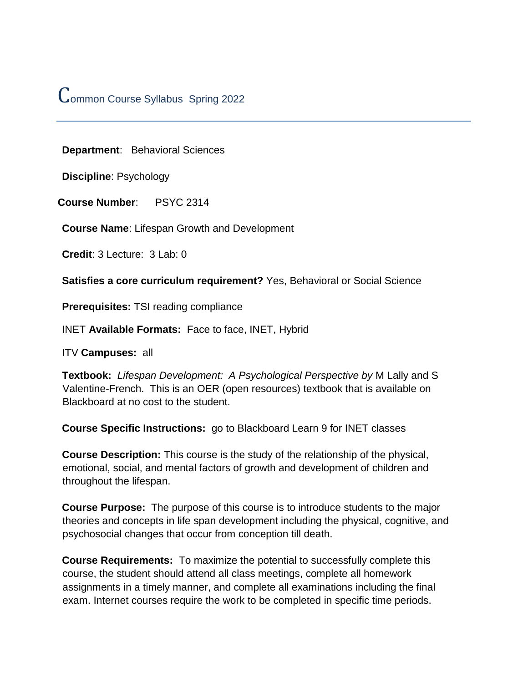# Common Course Syllabus Spring 2022

**Department**: Behavioral Sciences

**Discipline**: Psychology

**Course Number**: PSYC 2314

**Course Name**: Lifespan Growth and Development

**Credit**: 3 Lecture: 3 Lab: 0

**Satisfies a core curriculum requirement?** Yes, Behavioral or Social Science

**Prerequisites:** TSI reading compliance

INET **Available Formats:** Face to face, INET, Hybrid

ITV **Campuses:** all

**Textbook:** *Lifespan Development: A Psychological Perspective by* M Lally and S Valentine-French. This is an OER (open resources) textbook that is available on Blackboard at no cost to the student.

**Course Specific Instructions:** go to Blackboard Learn 9 for INET classes

**Course Description:** This course is the study of the relationship of the physical, emotional, social, and mental factors of growth and development of children and throughout the lifespan.

**Course Purpose:** The purpose of this course is to introduce students to the major theories and concepts in life span development including the physical, cognitive, and psychosocial changes that occur from conception till death.

**Course Requirements:** To maximize the potential to successfully complete this course, the student should attend all class meetings, complete all homework assignments in a timely manner, and complete all examinations including the final exam. Internet courses require the work to be completed in specific time periods.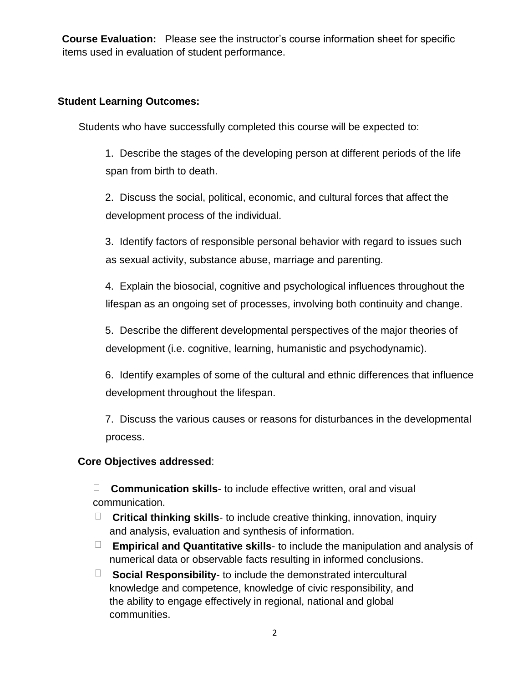**Course Evaluation:** Please see the instructor's course information sheet for specific items used in evaluation of student performance.

#### **Student Learning Outcomes:**

Students who have successfully completed this course will be expected to:

1. Describe the stages of the developing person at different periods of the life span from birth to death.

2. Discuss the social, political, economic, and cultural forces that affect the development process of the individual.

3. Identify factors of responsible personal behavior with regard to issues such as sexual activity, substance abuse, marriage and parenting.

4. Explain the biosocial, cognitive and psychological influences throughout the lifespan as an ongoing set of processes, involving both continuity and change.

5. Describe the different developmental perspectives of the major theories of development (i.e. cognitive, learning, humanistic and psychodynamic).

6. Identify examples of some of the cultural and ethnic differences that influence development throughout the lifespan.

7. Discuss the various causes or reasons for disturbances in the developmental process.

#### **Core Objectives addressed**:

**Communication skills**- to include effective written, oral and visual communication.

- **Critical thinking skills** to include creative thinking, innovation, inquiry and analysis, evaluation and synthesis of information.
- **Empirical and Quantitative skills** to include the manipulation and analysis of numerical data or observable facts resulting in informed conclusions.
- **Social Responsibility** to include the demonstrated intercultural knowledge and competence, knowledge of civic responsibility, and the ability to engage effectively in regional, national and global communities.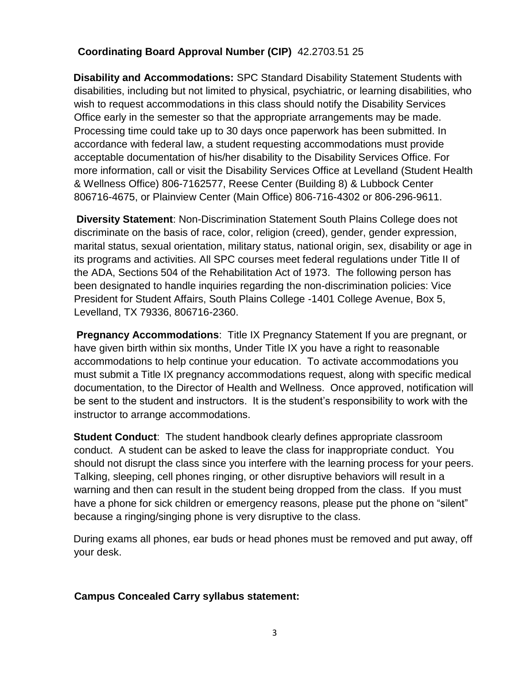### **Coordinating Board Approval Number (CIP)** 42.2703.51 25

**Disability and Accommodations:** SPC Standard Disability Statement Students with disabilities, including but not limited to physical, psychiatric, or learning disabilities, who wish to request accommodations in this class should notify the Disability Services Office early in the semester so that the appropriate arrangements may be made. Processing time could take up to 30 days once paperwork has been submitted. In accordance with federal law, a student requesting accommodations must provide acceptable documentation of his/her disability to the Disability Services Office. For more information, call or visit the Disability Services Office at Levelland (Student Health & Wellness Office) 806-7162577, Reese Center (Building 8) & Lubbock Center 806716-4675, or Plainview Center (Main Office) 806-716-4302 or 806-296-9611.

**Diversity Statement**: Non-Discrimination Statement South Plains College does not discriminate on the basis of race, color, religion (creed), gender, gender expression, marital status, sexual orientation, military status, national origin, sex, disability or age in its programs and activities. All SPC courses meet federal regulations under Title II of the ADA, Sections 504 of the Rehabilitation Act of 1973. The following person has been designated to handle inquiries regarding the non-discrimination policies: Vice President for Student Affairs, South Plains College -1401 College Avenue, Box 5, Levelland, TX 79336, 806716-2360.

**Pregnancy Accommodations:** Title IX Pregnancy Statement If you are pregnant, or have given birth within six months, Under Title IX you have a right to reasonable accommodations to help continue your education. To activate accommodations you must submit a Title IX pregnancy accommodations request, along with specific medical documentation, to the Director of Health and Wellness. Once approved, notification will be sent to the student and instructors. It is the student's responsibility to work with the instructor to arrange accommodations.

**Student Conduct**: The student handbook clearly defines appropriate classroom conduct. A student can be asked to leave the class for inappropriate conduct. You should not disrupt the class since you interfere with the learning process for your peers. Talking, sleeping, cell phones ringing, or other disruptive behaviors will result in a warning and then can result in the student being dropped from the class. If you must have a phone for sick children or emergency reasons, please put the phone on "silent" because a ringing/singing phone is very disruptive to the class.

During exams all phones, ear buds or head phones must be removed and put away, off your desk.

#### **Campus Concealed Carry syllabus statement:**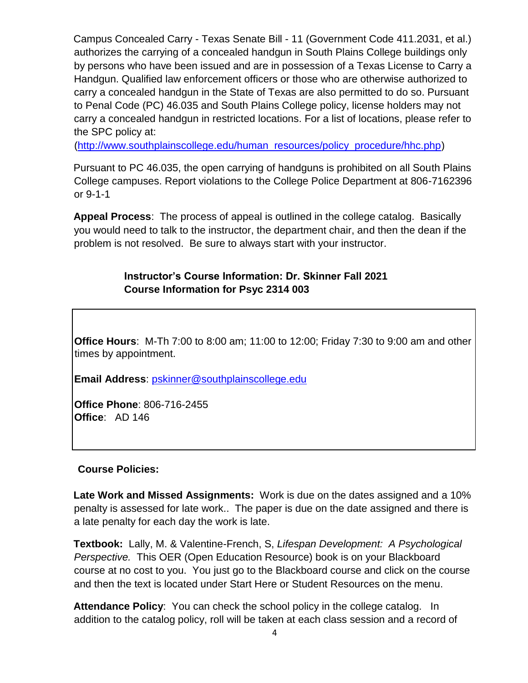Campus Concealed Carry - Texas Senate Bill - 11 (Government Code 411.2031, et al.) authorizes the carrying of a concealed handgun in South Plains College buildings only by persons who have been issued and are in possession of a Texas License to Carry a Handgun. Qualified law enforcement officers or those who are otherwise authorized to carry a concealed handgun in the State of Texas are also permitted to do so. Pursuant to Penal Code (PC) 46.035 and South Plains College policy, license holders may not carry a concealed handgun in restricted locations. For a list of locations, please refer to the SPC policy at:

[\(http://www.southplainscollege.edu/human\\_resources/policy\\_procedure/hhc.php\)](http://www.southplainscollege.edu/human_resources/policy_procedure/hhc.php)

Pursuant to PC 46.035, the open carrying of handguns is prohibited on all South Plains College campuses. Report violations to the College Police Department at 806-7162396 or 9-1-1

**Appeal Process**: The process of appeal is outlined in the college catalog. Basically you would need to talk to the instructor, the department chair, and then the dean if the problem is not resolved. Be sure to always start with your instructor.

#### **Instructor's Course Information: Dr. Skinner Fall 2021 Course Information for Psyc 2314 003**

**Office Hours**: M-Th 7:00 to 8:00 am; 11:00 to 12:00; Friday 7:30 to 9:00 am and other times by appointment.

**Email Address**: pskinner@southplainscollege.edu

**Office Phone**: 806-716-2455 **Office**: AD 146

#### **Course Policies:**

**Late Work and Missed Assignments:** Work is due on the dates assigned and a 10% penalty is assessed for late work.. The paper is due on the date assigned and there is a late penalty for each day the work is late.

**Textbook:** Lally, M. & Valentine-French, S, *Lifespan Development: A Psychological Perspective.* This OER (Open Education Resource) book is on your Blackboard course at no cost to you. You just go to the Blackboard course and click on the course and then the text is located under Start Here or Student Resources on the menu.

**Attendance Policy**: You can check the school policy in the college catalog. In addition to the catalog policy, roll will be taken at each class session and a record of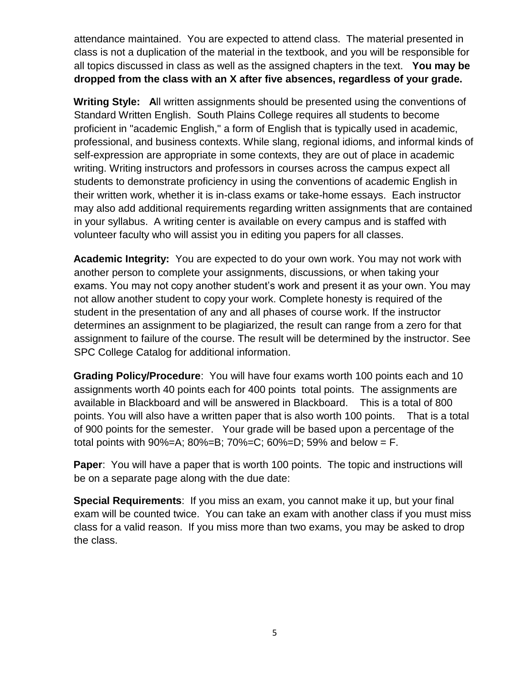attendance maintained. You are expected to attend class. The material presented in class is not a duplication of the material in the textbook, and you will be responsible for all topics discussed in class as well as the assigned chapters in the text. **You may be dropped from the class with an X after five absences, regardless of your grade.**

**Writing Style: A**ll written assignments should be presented using the conventions of Standard Written English. South Plains College requires all students to become proficient in "academic English," a form of English that is typically used in academic, professional, and business contexts. While slang, regional idioms, and informal kinds of self-expression are appropriate in some contexts, they are out of place in academic writing. Writing instructors and professors in courses across the campus expect all students to demonstrate proficiency in using the conventions of academic English in their written work, whether it is in-class exams or take-home essays. Each instructor may also add additional requirements regarding written assignments that are contained in your syllabus. A writing center is available on every campus and is staffed with volunteer faculty who will assist you in editing you papers for all classes.

**Academic Integrity:** You are expected to do your own work. You may not work with another person to complete your assignments, discussions, or when taking your exams. You may not copy another student's work and present it as your own. You may not allow another student to copy your work. Complete honesty is required of the student in the presentation of any and all phases of course work. If the instructor determines an assignment to be plagiarized, the result can range from a zero for that assignment to failure of the course. The result will be determined by the instructor. See SPC College Catalog for additional information.

**Grading Policy/Procedure**: You will have four exams worth 100 points each and 10 assignments worth 40 points each for 400 points total points. The assignments are available in Blackboard and will be answered in Blackboard. This is a total of 800 points. You will also have a written paper that is also worth 100 points. That is a total of 900 points for the semester. Your grade will be based upon a percentage of the total points with  $90\% = A$ ;  $80\% = B$ ;  $70\% = C$ ;  $60\% = D$ ; 59% and below = F.

**Paper**: You will have a paper that is worth 100 points. The topic and instructions will be on a separate page along with the due date:

**Special Requirements**: If you miss an exam, you cannot make it up, but your final exam will be counted twice. You can take an exam with another class if you must miss class for a valid reason. If you miss more than two exams, you may be asked to drop the class.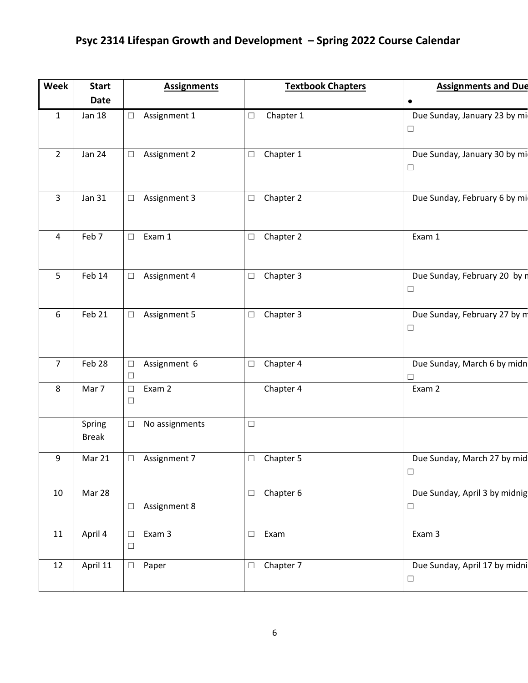## **Psyc 2314 Lifespan Growth and Development – Spring 2022 Course Calendar**

| <b>Week</b>    | <b>Start</b>           | <b>Assignments</b>               | <b>Textbook Chapters</b> | <b>Assignments and Due</b>              |
|----------------|------------------------|----------------------------------|--------------------------|-----------------------------------------|
|                | <b>Date</b>            |                                  |                          | $\bullet$                               |
| $\mathbf{1}$   | <b>Jan 18</b>          | Assignment 1<br>$\Box$           | Chapter 1<br>$\Box$      | Due Sunday, January 23 by mi<br>$\Box$  |
| $\overline{2}$ | <b>Jan 24</b>          | Assignment 2<br>$\Box$           | Chapter 1<br>$\Box$      | Due Sunday, January 30 by mi<br>$\Box$  |
| 3              | <b>Jan 31</b>          | Assignment 3<br>□                | Chapter 2<br>$\Box$      | Due Sunday, February 6 by mi            |
| $\overline{4}$ | Feb 7                  | Exam 1<br>$\Box$                 | Chapter 2<br>$\Box$      | Exam 1                                  |
| 5              | Feb 14                 | Assignment 4<br>$\Box$           | Chapter 3<br>$\Box$      | Due Sunday, February 20 by r<br>$\Box$  |
| 6              | Feb 21                 | Assignment 5<br>$\Box$           | Chapter 3<br>$\Box$      | Due Sunday, February 27 by m<br>$\Box$  |
| $\overline{7}$ | Feb 28                 | Assignment 6<br>$\Box$<br>$\Box$ | Chapter 4<br>$\Box$      | Due Sunday, March 6 by midn<br>$\Box$   |
| 8              | Mar 7                  | Exam 2<br>$\Box$<br>$\Box$       | Chapter 4                | Exam 2                                  |
|                | Spring<br><b>Break</b> | No assignments<br>$\Box$         | $\Box$                   |                                         |
| 9              | Mar 21                 | Assignment 7<br>$\Box$           | Chapter 5<br>$\Box$      | Due Sunday, March 27 by mid<br>$\Box$   |
| 10             | Mar 28                 | Assignment 8<br>$\Box$           | Chapter 6<br>$\Box$      | Due Sunday, April 3 by midnig<br>$\Box$ |
| 11             | April 4                | Exam 3<br>$\Box$<br>$\Box$       | Exam<br>$\Box$           | Exam 3                                  |
| 12             | April 11               | Paper<br>$\Box$                  | Chapter 7<br>$\Box$      | Due Sunday, April 17 by midni<br>$\Box$ |